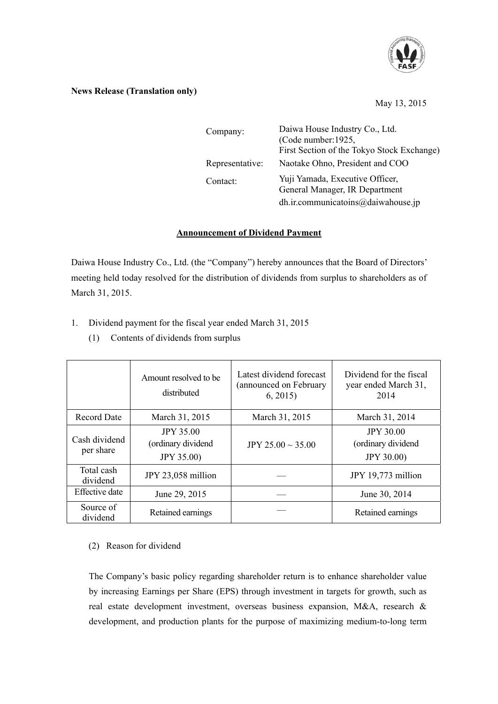

# **News Release (Translation only)**

# May 13, 2015

| Company:        | Daiwa House Industry Co., Ltd.<br>(Code number: 1925,<br>First Section of the Tokyo Stock Exchange)     |  |
|-----------------|---------------------------------------------------------------------------------------------------------|--|
| Representative: | Naotake Ohno, President and COO                                                                         |  |
| Contact:        | Yuji Yamada, Executive Officer,<br>General Manager, IR Department<br>dh.ir.communicatoins@daiwahouse.jp |  |

### **Announcement of Dividend Payment**

Daiwa House Industry Co., Ltd. (the "Company") hereby announces that the Board of Directors' meeting held today resolved for the distribution of dividends from surplus to shareholders as of March 31, 2015.

- 1. Dividend payment for the fiscal year ended March 31, 2015
	- (1) Contents of dividends from surplus

|                            | Amount resolved to be.<br>distributed                       | Latest dividend forecast<br>(announced on February<br>6, 2015 | Dividend for the fiscal<br>year ended March 31.<br>2014     |
|----------------------------|-------------------------------------------------------------|---------------------------------------------------------------|-------------------------------------------------------------|
| <b>Record Date</b>         | March 31, 2015                                              | March 31, 2015                                                | March 31, 2014                                              |
| Cash dividend<br>per share | <b>JPY 35.00</b><br>(ordinary dividend<br><b>JPY 35.00)</b> | JPY 25.00 $\sim$ 35.00                                        | <b>JPY 30.00</b><br>(ordinary dividend<br><b>JPY 30.00)</b> |
| Total cash<br>dividend     | JPY 23,058 million                                          |                                                               | JPY 19,773 million                                          |
| <b>Effective</b> date      | June 29, 2015                                               |                                                               | June 30, 2014                                               |
| Source of<br>dividend      | Retained earnings                                           |                                                               | Retained earnings                                           |

# (2) Reason for dividend

The Company's basic policy regarding shareholder return is to enhance shareholder value by increasing Earnings per Share (EPS) through investment in targets for growth, such as real estate development investment, overseas business expansion, M&A, research & development, and production plants for the purpose of maximizing medium-to-long term